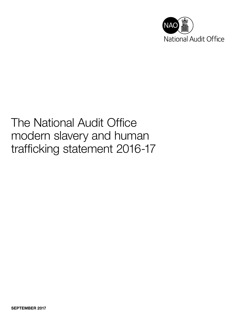

# The National Audit Office modern slavery and human trafficking statement 2016-17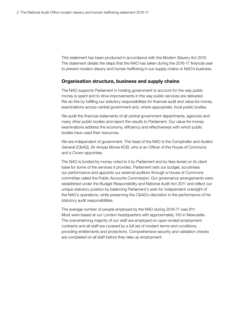This statement has been produced in accordance with the Modern Slavery Act 2015. The statement details the steps that the NAO has taken during the 2016-17 financial year to prevent modern slavery and human trafficking in our supply chains or NAO's business.

# Organisation structure, business and supply chains

The NAO supports Parliament in holding government to account for the way public money is spent and to drive improvements in the way public services are delivered. We do this by fulfilling our statutory responsibilities for financial audit and value-for-money examinations across central government and, where appropriate, local public bodies.

We audit the financial statements of all central government departments, agencies and many other public bodies and report the results to Parliament. Our value-for-money examinations address the economy, efficiency and effectiveness with which public bodies have used their resources.

We are independent of government. The head of the NAO is the Comptroller and Auditor General (C&AG), Sir Amyas Morse KCB, who is an Officer of the House of Commons and a Crown appointee.

The NAO is funded by money voted to it by Parliament and by fees levied on its client base for some of the services it provides. Parliament sets our budget, scrutinises our performance and appoints our external auditors through a House of Commons committee called the Public Accounts Commission. Our governance arrangements were established under the Budget Responsibility and National Audit Act 2011 and reflect our unique statutory position by balancing Parliament's wish for independent oversight of the NAO's operations, while preserving the C&AG's discretion in the performance of his statutory audit responsibilities.

The average number of people employed by the NAO during 2016-17 was 811. Most were based at our London headquarters with approximately 100 in Newcastle. The overwhelming majority of our staff are employed on open-ended employment contracts and all staff are covered by a full set of modern terms and conditions, providing entitlements and protections. Comprehensive security and validation checks are completed on all staff before they take up employment.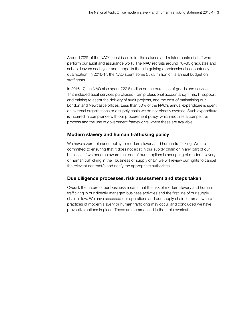Around 70% of the NAO's cost base is for the salaries and related costs of staff who perform our audit and assurance work. The NAO recruits around 70–80 graduates and school-leavers each year and supports them in gaining a professional accountancy qualification. In 2016-17, the NAO spent some £57.5 million of its annual budget on staff costs.

In 2016-17, the NAO also spent £22.8 million on the purchase of goods and services. This included audit services purchased from professional accountancy firms, IT support and training to assist the delivery of audit projects, and the cost of maintaining our London and Newcastle offices. Less than 30% of the NAO's annual expenditure is spent on external organisations or a supply chain we do not directly oversee. Such expenditure is incurred in compliance with our procurement policy, which requires a competitive process and the use of government frameworks where these are available.

# Modern slavery and human trafficking policy

We have a zero tolerance policy to modern slavery and human trafficking. We are committed to ensuring that it does not exist in our supply chain or in any part of our business. If we become aware that one of our suppliers is accepting of modern slavery or human trafficking in their business or supply chain we will review our rights to cancel the relevant contract/s and notify the appropriate authorities.

## Due diligence processes, risk assessment and steps taken

Overall, the nature of our business means that the risk of modern slavery and human trafficking in our directly managed business activities and the first line of our supply chain is low. We have assessed our operations and our supply chain for areas where practices of modern slavery or human trafficking may occur and concluded we have preventive actions in place. These are summarised in the table overleaf.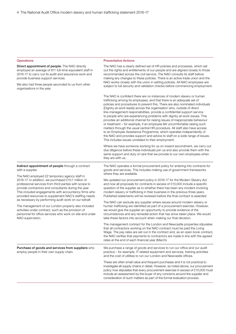### Operations **Preventative Actions**

| Direct appointment of people. The NAO directly<br>employed an average of 811 full-time equivalent staff in<br>2016-17 to carry out its audit and assurance work and<br>provide business support services.<br>We also had three people seconded to us from other<br>organisations in the year.                                                                                                                                                                                                                                                                                                                                                                          | The NAO has a clearly defined set of HR policies and processes, which set<br>out the rights and entitlements of our people and are aligned closely to those<br>recommended across the civil service. The NAO consults its staff before<br>making any changes to these policies. There is an active trade union and the<br>NAO works closely with the union in setting policies. All NAO employees are<br>subject to full security and validation checks before commencing employment.<br>The NAO is confident there are no instances of modern slavery or human<br>trafficking among its employees, and that there is an adequate set of<br>policies and procedures to prevent this. There are also nominated individuals<br>(Dignity-at-work leads) across the organisation who, outside of direct<br>line-management responsibilities, provide a confidential support service<br>to people who are experiencing problems with dignity-at-work issues. This<br>provides an additional channel for raising issues of inappropriate behaviour<br>or treatment - for example, if an employee felt uncomfortable raising such<br>matters through the usual central HR procedure. All staff also have access<br>to an Employee Assistance Programme, which operates independently of<br>the NAO and provides support and advice to staff on a wide range of issues.<br>This includes issues unrelated to their employment.<br>Where we have someone working for us on inward secondment, we carry out<br>due diligence before these individuals join us and also provide them with the<br>same support and duty of care that we provide to our own employees when<br>they are with us. |
|------------------------------------------------------------------------------------------------------------------------------------------------------------------------------------------------------------------------------------------------------------------------------------------------------------------------------------------------------------------------------------------------------------------------------------------------------------------------------------------------------------------------------------------------------------------------------------------------------------------------------------------------------------------------|------------------------------------------------------------------------------------------------------------------------------------------------------------------------------------------------------------------------------------------------------------------------------------------------------------------------------------------------------------------------------------------------------------------------------------------------------------------------------------------------------------------------------------------------------------------------------------------------------------------------------------------------------------------------------------------------------------------------------------------------------------------------------------------------------------------------------------------------------------------------------------------------------------------------------------------------------------------------------------------------------------------------------------------------------------------------------------------------------------------------------------------------------------------------------------------------------------------------------------------------------------------------------------------------------------------------------------------------------------------------------------------------------------------------------------------------------------------------------------------------------------------------------------------------------------------------------------------------------------------------------------------------------------------------------------|
| Indirect appointment of people through a contract<br>with a supplier.<br>The NAO employed 22 temporary agency staff in<br>2016-17. In addition, we purchased £10.1 million of<br>professional services from third parties with scope to<br>provide contractors and consultants during the year.<br>This included engagements with accountancy firms who<br>provided resources to supplement NAO's staffing needs<br>as necessary by performing audit work on our behalf.<br>The management of our London property also included<br>activities under contract, such as the provision of<br>personnel for office services who work on site and under<br>NAO supervision. | The NAO operates a formal procurement policy for entering into contracts for<br>goods and services. This includes making use of government frameworks<br>where they are available.<br>We updated our procurement policy in 2016-17 for the Modern Slavery Act<br>and now all proposals for contracts in excess of £10,000 include a specific<br>question of the supplier as to whether there has been any incident involving<br>modern slavery or trafficking in their business in the previous three years.<br>Published statements will be reviewed before the final contract is awarded.<br>The NAO can exclude any supplier where issues around modern slavery or<br>human trafficking are identified as part of a procurement exercise. However,<br>we would give the supplier an opportunity to provide evidence of the<br>circumstances and any remedial action that has since taken place. We would<br>take these factors into account when making our final decision.<br>The management contract for the London and Newcastle properties stipulates<br>that all contractors working on the NAO contract must be paid the Living<br>Wage. The pay rates are set out in the contract and, as an open book contract,<br>the NAO verifies that payments to contractors are made in line with the agreed<br>rates at the end of each financial year (March).                                                                                                                                                                                                                                                                                                                   |
| Purchase of goods and services from suppliers who<br>employ people in their own supply chain.                                                                                                                                                                                                                                                                                                                                                                                                                                                                                                                                                                          | We purchase a range of goods and services to run our office and our audit<br>practice - for example, IT-related equipment and services, training activities<br>and the cost of utilities to run our London and Newcastle offices.<br>These are often small value and frequent purchases and it is not practical to<br>investigate all supply chains in detail. However, as noted above, our procurement<br>policy now stipulates that every procurement exercise in excess of £10,000 must<br>include an assessment by the buyer of any concerns around the supplier and<br>consideration of such matters as part of the formal evaluation process.                                                                                                                                                                                                                                                                                                                                                                                                                                                                                                                                                                                                                                                                                                                                                                                                                                                                                                                                                                                                                                |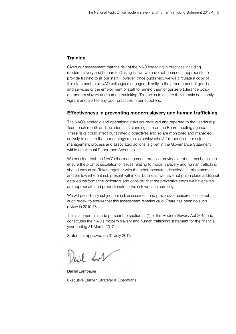# **Training**

Given our assessment that the risk of the NAO engaging in practices including modern slavery and human trafficking is low, we have not deemed it appropriate to provide training to all our staff. However, once published, we will circulate a copy of this statement to all NAO colleagues engaged directly in the procurement of goods and services or the employment of staff to remind them of our zero tolerance policy on modern slavery and human trafficking. This helps to ensure they remain constantly vigilant and alert to any poor practices in our suppliers.

## Effectiveness in preventing modern slavery and human trafficking

The NAO's strategic and operational risks are reviewed and reported to the Leadership Team each month and included as a standing item on the Board meeting agenda. These risks could affect our strategic objectives and so are monitored and managed actively to ensure that our strategy remains achievable. A full report on our risk management process and associated actions is given in the Governance Statement within our Annual Report and Accounts.

We consider that the NAO's risk management process provides a robust mechanism to ensure the prompt escalation of issues relating to modern slavery and human trafficking should they arise. Taken together with the other measures described in this statement and the low inherent risk present within our business, we have not put in place additional detailed performance indicators and consider that the preventive steps we have taken are appropriate and proportionate to the risk we face currently.

We will periodically subject our risk assessment and preventive measures to internal audit review to ensure that this assessment remains valid. There has been no such review in 2016-17.

This statement is made pursuant to section 54(1) of the Modern Slavery Act 2015 and constitutes the NAO's modern slavery and human trafficking statement for the financial year ending 31 March 2017.

Statement approved on 31 July 2017:

Deid wit

Daniel Lambauer Executive Leader, Strategy & Operations